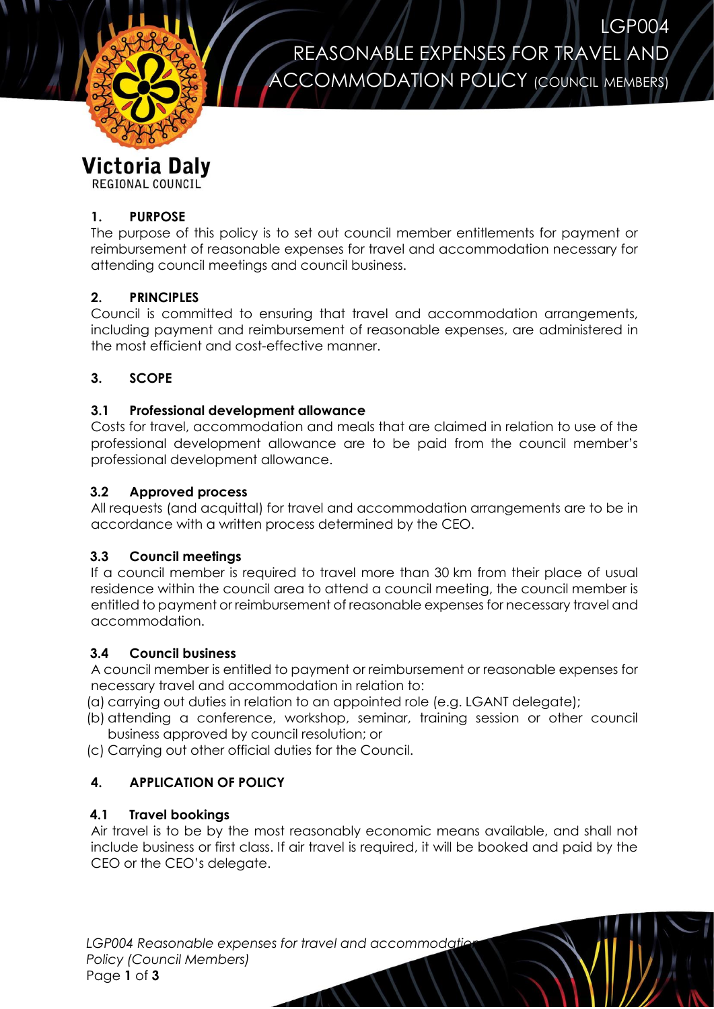

LGP004 REASONABLE EXPENSES FOR TRAVEL AND ACCOMMODATION POLICY (COUNCIL MEMBERS)

# **Victoria Daly**

REGIONAL COUNCIL

## **1. PURPOSE**

The purpose of this policy is to set out council member entitlements for payment or reimbursement of reasonable expenses for travel and accommodation necessary for attending council meetings and council business.

# **2. PRINCIPLES**

Council is committed to ensuring that travel and accommodation arrangements, including payment and reimbursement of reasonable expenses, are administered in the most efficient and cost-effective manner.

## **3. SCOPE**

## **3.1 Professional development allowance**

Costs for travel, accommodation and meals that are claimed in relation to use of the professional development allowance are to be paid from the council member's professional development allowance.

## **3.2 Approved process**

All requests (and acquittal) for travel and accommodation arrangements are to be in accordance with a written process determined by the CEO.

## **3.3 Council meetings**

If a council member is required to travel more than 30 km from their place of usual residence within the council area to attend a council meeting, the council member is entitled to payment or reimbursement of reasonable expenses for necessary travel and accommodation.

## **3.4 Council business**

A council member is entitled to payment or reimbursement or reasonable expenses for necessary travel and accommodation in relation to:

(a) carrying out duties in relation to an appointed role (e.g. LGANT delegate);

(b) attending a conference, workshop, seminar, training session or other council business approved by council resolution; or

(c) Carrying out other official duties for the Council.

# **4. APPLICATION OF POLICY**

## **4.1 Travel bookings**

Air travel is to be by the most reasonably economic means available, and shall not include business or first class. If air travel is required, it will be booked and paid by the CEO or the CEO's delegate.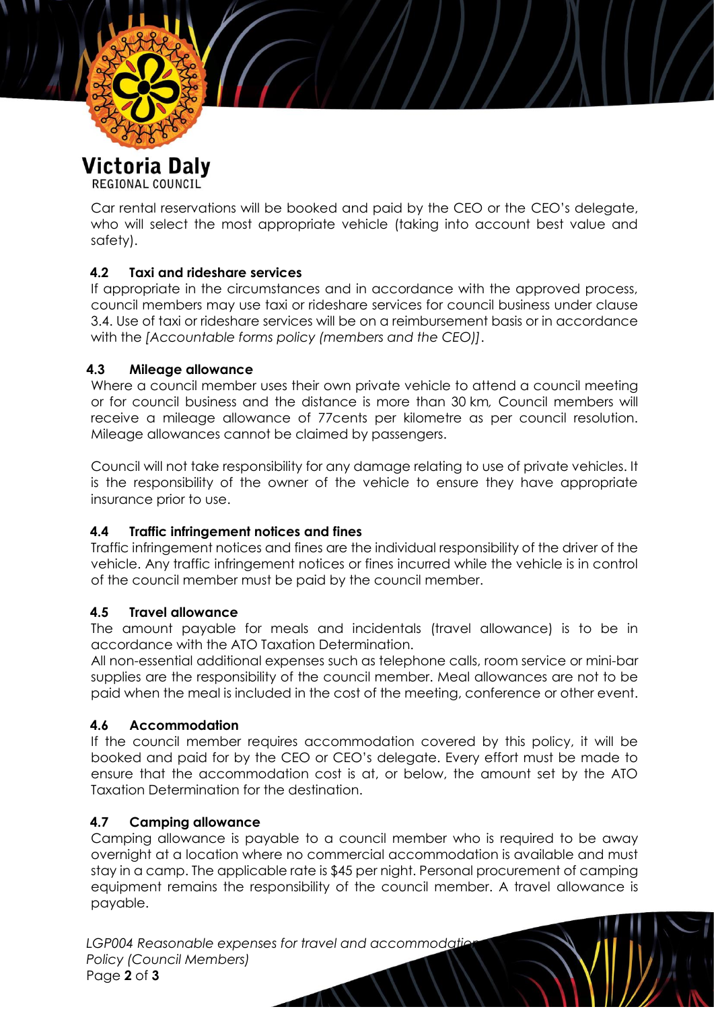

REGIONAL COUNCIL

Car rental reservations will be booked and paid by the CEO or the CEO's delegate, who will select the most appropriate vehicle (taking into account best value and safety).

## **4.2 Taxi and rideshare services**

If appropriate in the circumstances and in accordance with the approved process, council members may use taxi or rideshare services for council business under clause 3.4. Use of taxi or rideshare services will be on a reimbursement basis or in accordance with the *[Accountable forms policy (members and the CEO)]*.

#### **4.3 Mileage allowance**

Where a council member uses their own private vehicle to attend a council meeting or for council business and the distance is more than 30 km*,* Council members will receive a mileage allowance of 77cents per kilometre as per council resolution. Mileage allowances cannot be claimed by passengers.

Council will not take responsibility for any damage relating to use of private vehicles. It is the responsibility of the owner of the vehicle to ensure they have appropriate insurance prior to use.

## **4.4 Traffic infringement notices and fines**

Traffic infringement notices and fines are the individual responsibility of the driver of the vehicle. Any traffic infringement notices or fines incurred while the vehicle is in control of the council member must be paid by the council member.

#### **4.5 Travel allowance**

The amount payable for meals and incidentals (travel allowance) is to be in accordance with the ATO Taxation Determination.

All non-essential additional expenses such as telephone calls, room service or mini-bar supplies are the responsibility of the council member. Meal allowances are not to be paid when the meal is included in the cost of the meeting, conference or other event.

#### **4.6 Accommodation**

If the council member requires accommodation covered by this policy, it will be booked and paid for by the CEO or CEO's delegate. Every effort must be made to ensure that the accommodation cost is at, or below, the amount set by the ATO Taxation Determination for the destination.

#### **4.7 Camping allowance**

Camping allowance is payable to a council member who is required to be away overnight at a location where no commercial accommodation is available and must stay in a camp. The applicable rate is \$45 per night. Personal procurement of camping equipment remains the responsibility of the council member. A travel allowance is payable.

LGP004 Reasonable expenses for travel and accommodation *Policy (Council Members)* Page **2** of **3**